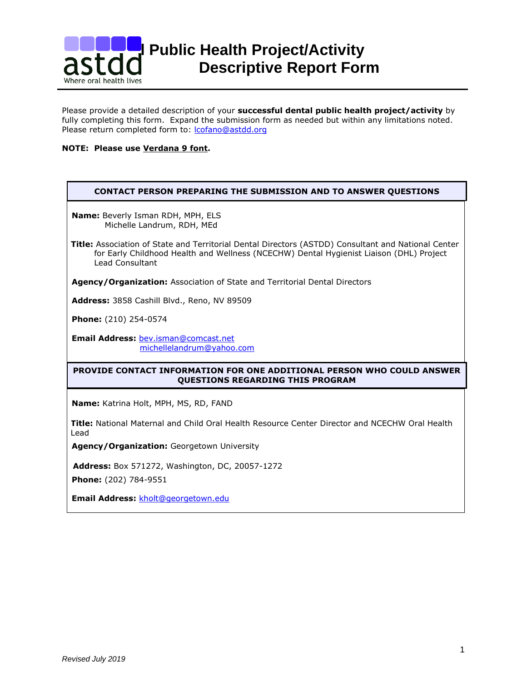

Please provide a detailed description of your **successful dental public health project/activity** by fully completing this form. Expand the submission form as needed but within any limitations noted. Please return completed form to: [lcofano@astdd.org](mailto:lcofano@astdd.org)

# **NOTE: Please use Verdana 9 font.**

| <b>CONTACT PERSON PREPARING THE SUBMISSION AND TO ANSWER QUESTIONS</b>                                                                                                                                                   |  |  |
|--------------------------------------------------------------------------------------------------------------------------------------------------------------------------------------------------------------------------|--|--|
| <b>Name:</b> Beverly Isman RDH, MPH, ELS<br>Michelle Landrum, RDH, MEd                                                                                                                                                   |  |  |
| <b>Title:</b> Association of State and Territorial Dental Directors (ASTDD) Consultant and National Center<br>for Early Childhood Health and Wellness (NCECHW) Dental Hygienist Liaison (DHL) Project<br>Lead Consultant |  |  |
| <b>Agency/Organization:</b> Association of State and Territorial Dental Directors                                                                                                                                        |  |  |
| Address: 3858 Cashill Blvd., Reno, NV 89509                                                                                                                                                                              |  |  |
| <b>Phone:</b> (210) 254-0574                                                                                                                                                                                             |  |  |
| <b>Email Address: bev.isman@comcast.net</b><br>michellelandrum@yahoo.com                                                                                                                                                 |  |  |
| <b>PROVIDE CONTACT INFORMATION FOR ONE ADDITIONAL PERSON WHO COULD ANSWER</b><br>QUESTIONS REGARDING THIS PROGRAM                                                                                                        |  |  |
|                                                                                                                                                                                                                          |  |  |

**Name:** Katrina Holt, MPH, MS, RD, FAND

**Title:** National Maternal and Child Oral Health Resource Center Director and NCECHW Oral Health Lead

**Agency/Organization:** Georgetown University

**Address:** Box 571272, Washington, DC, 20057-1272

**Phone:** (202) 784-9551

**Email Address:** [kholt@georgetown.edu](mailto:kholt@georgetown.edu)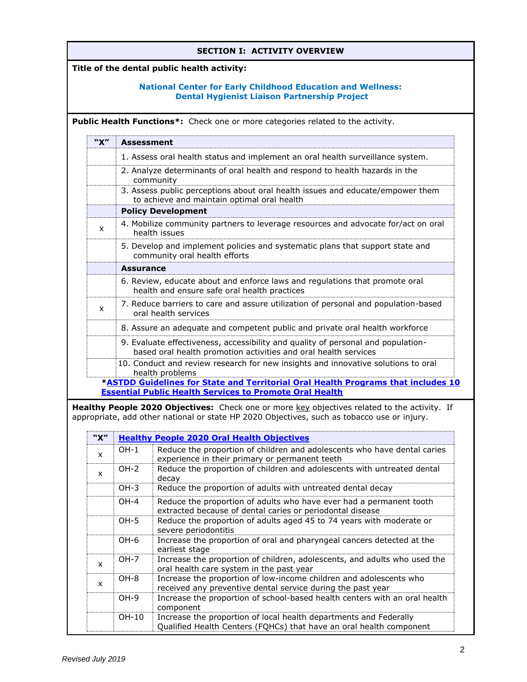| <b>SECTION I: ACTIVITY OVERVIEW</b>         |                                                                                                                           |                                                                                                                                                     |                                                                                                                                                                                             |  |
|---------------------------------------------|---------------------------------------------------------------------------------------------------------------------------|-----------------------------------------------------------------------------------------------------------------------------------------------------|---------------------------------------------------------------------------------------------------------------------------------------------------------------------------------------------|--|
| Title of the dental public health activity: |                                                                                                                           |                                                                                                                                                     |                                                                                                                                                                                             |  |
|                                             | <b>National Center for Early Childhood Education and Wellness:</b><br><b>Dental Hygienist Liaison Partnership Project</b> |                                                                                                                                                     |                                                                                                                                                                                             |  |
|                                             | <b>Public Health Functions*:</b> Check one or more categories related to the activity.                                    |                                                                                                                                                     |                                                                                                                                                                                             |  |
|                                             | "X"                                                                                                                       | <b>Assessment</b>                                                                                                                                   |                                                                                                                                                                                             |  |
|                                             |                                                                                                                           | 1. Assess oral health status and implement an oral health surveillance system.                                                                      |                                                                                                                                                                                             |  |
|                                             |                                                                                                                           | 2. Analyze determinants of oral health and respond to health hazards in the                                                                         |                                                                                                                                                                                             |  |
|                                             |                                                                                                                           | community<br>3. Assess public perceptions about oral health issues and educate/empower them<br>to achieve and maintain optimal oral health          |                                                                                                                                                                                             |  |
|                                             |                                                                                                                           |                                                                                                                                                     | <b>Policy Development</b>                                                                                                                                                                   |  |
|                                             | $\mathsf{x}$                                                                                                              |                                                                                                                                                     | 4. Mobilize community partners to leverage resources and advocate for/act on oral<br>health issues                                                                                          |  |
|                                             |                                                                                                                           |                                                                                                                                                     | 5. Develop and implement policies and systematic plans that support state and<br>community oral health efforts                                                                              |  |
|                                             |                                                                                                                           | <b>Assurance</b>                                                                                                                                    |                                                                                                                                                                                             |  |
|                                             |                                                                                                                           |                                                                                                                                                     | 6. Review, educate about and enforce laws and regulations that promote oral<br>health and ensure safe oral health practices                                                                 |  |
|                                             | $\mathsf{x}$                                                                                                              | 7. Reduce barriers to care and assure utilization of personal and population-based<br>oral health services                                          |                                                                                                                                                                                             |  |
|                                             |                                                                                                                           | 8. Assure an adequate and competent public and private oral health workforce                                                                        |                                                                                                                                                                                             |  |
|                                             |                                                                                                                           | 9. Evaluate effectiveness, accessibility and quality of personal and population-<br>based oral health promotion activities and oral health services |                                                                                                                                                                                             |  |
|                                             |                                                                                                                           | 10. Conduct and review research for new insights and innovative solutions to oral<br>health problems                                                |                                                                                                                                                                                             |  |
|                                             |                                                                                                                           |                                                                                                                                                     | *ASTDD Guidelines for State and Territorial Oral Health Programs that includes 10<br><b>Essential Public Health Services to Promote Oral Health</b>                                         |  |
|                                             |                                                                                                                           |                                                                                                                                                     | Healthy People 2020 Objectives: Check one or more key objectives related to the activity. If<br>appropriate, add other national or state HP 2020 Objectives, such as tobacco use or injury. |  |
|                                             | "X"                                                                                                                       |                                                                                                                                                     | <b>Healthy People 2020 Oral Health Objectives</b>                                                                                                                                           |  |
|                                             | X                                                                                                                         | $OH-1$                                                                                                                                              | Reduce the proportion of children and adolescents who have dental caries<br>experience in their primary or permanent teeth                                                                  |  |
|                                             | x                                                                                                                         | $OH-2$                                                                                                                                              | Reduce the proportion of children and adolescents with untreated dental<br>decay                                                                                                            |  |
|                                             |                                                                                                                           | $OH-3$                                                                                                                                              | Reduce the proportion of adults with untreated dental decay                                                                                                                                 |  |
|                                             |                                                                                                                           | OH-4                                                                                                                                                | Reduce the proportion of adults who have ever had a permanent tooth<br>extracted because of dental caries or periodontal disease                                                            |  |
|                                             |                                                                                                                           | $OH-5$                                                                                                                                              | Reduce the proportion of adults aged 45 to 74 years with moderate or<br>severe periodontitis                                                                                                |  |
|                                             |                                                                                                                           | OH-6                                                                                                                                                | Increase the proportion of oral and pharyngeal cancers detected at the<br>earliest stage                                                                                                    |  |
|                                             | x                                                                                                                         | $OH-7$                                                                                                                                              | Increase the proportion of children, adolescents, and adults who used the<br>oral health care system in the past year                                                                       |  |
|                                             | x                                                                                                                         | OH-8                                                                                                                                                | Increase the proportion of low-income children and adolescents who                                                                                                                          |  |
|                                             |                                                                                                                           | OH-9                                                                                                                                                | received any preventive dental service during the past year<br>Increase the proportion of school-based health centers with an oral health                                                   |  |
|                                             |                                                                                                                           | OH-10                                                                                                                                               | component<br>Increase the proportion of local health departments and Federally<br>Qualified Health Centers (FQHCs) that have an oral health component                                       |  |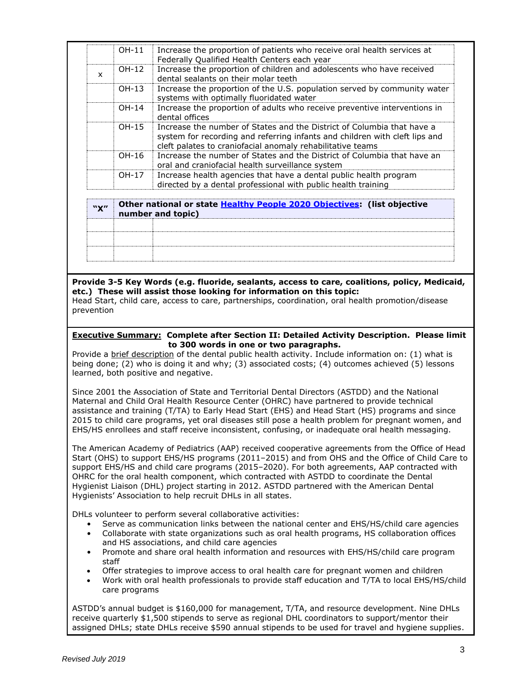| "X" | Other national or state Healthy People 2020 Objectives: (list objective<br>. |                                                                                                                                                                                                                     |  |
|-----|------------------------------------------------------------------------------|---------------------------------------------------------------------------------------------------------------------------------------------------------------------------------------------------------------------|--|
|     | OH-17                                                                        | Increase health agencies that have a dental public health program<br>directed by a dental professional with public health training                                                                                  |  |
|     | OH-16                                                                        | Increase the number of States and the District of Columbia that have an<br>oral and craniofacial health surveillance system                                                                                         |  |
|     | OH-15                                                                        | Increase the number of States and the District of Columbia that have a<br>system for recording and referring infants and children with cleft lips and<br>cleft palates to craniofacial anomaly rehabilitative teams |  |
|     | $OH-14$                                                                      | Increase the proportion of adults who receive preventive interventions in<br>dental offices                                                                                                                         |  |
|     | $OH-13$                                                                      | Increase the proportion of the U.S. population served by community water<br>systems with optimally fluoridated water                                                                                                |  |
| X   | OH-12                                                                        | Increase the proportion of children and adolescents who have received<br>dental sealants on their molar teeth                                                                                                       |  |
|     | OH-11                                                                        | Increase the proportion of patients who receive oral health services at<br>Federally Qualified Health Centers each year                                                                                             |  |

|  | Concernational or state <u>meaning a copie zozo objectives</u> . (not objective |
|--|---------------------------------------------------------------------------------|
|  | number and topic)                                                               |
|  |                                                                                 |
|  |                                                                                 |
|  |                                                                                 |
|  |                                                                                 |
|  |                                                                                 |
|  |                                                                                 |

**Provide 3-5 Key Words (e.g. fluoride, sealants, access to care, coalitions, policy, Medicaid, etc.) These will assist those looking for information on this topic:** Head Start, child care, access to care, partnerships, coordination, oral health promotion/disease prevention

### **Executive Summary: Complete after Section II: Detailed Activity Description. Please limit to 300 words in one or two paragraphs.**

Provide a brief description of the dental public health activity. Include information on: (1) what is being done; (2) who is doing it and why; (3) associated costs; (4) outcomes achieved (5) lessons learned, both positive and negative.

Since 2001 the Association of State and Territorial Dental Directors (ASTDD) and the National Maternal and Child Oral Health Resource Center (OHRC) have partnered to provide technical assistance and training (T/TA) to Early Head Start (EHS) and Head Start (HS) programs and since 2015 to child care programs, yet oral diseases still pose a health problem for pregnant women, and EHS/HS enrollees and staff receive inconsistent, confusing, or inadequate oral health messaging.

The American Academy of Pediatrics (AAP) received cooperative agreements from the Office of Head Start (OHS) to support EHS/HS programs (2011–2015) and from OHS and the Office of Child Care to support EHS/HS and child care programs (2015–2020). For both agreements, AAP contracted with OHRC for the oral health component, which contracted with ASTDD to coordinate the Dental Hygienist Liaison (DHL) project starting in 2012. ASTDD partnered with the American Dental Hygienists' Association to help recruit DHLs in all states.

DHLs volunteer to perform several collaborative activities:

- Serve as communication links between the national center and EHS/HS/child care agencies
- Collaborate with state organizations such as oral health programs, HS collaboration offices and HS associations, and child care agencies
- Promote and share oral health information and resources with EHS/HS/child care program staff
- Offer strategies to improve access to oral health care for pregnant women and children
- Work with oral health professionals to provide staff education and T/TA to local EHS/HS/child care programs

ASTDD's annual budget is \$160,000 for management, T/TA, and resource development. Nine DHLs receive quarterly \$1,500 stipends to serve as regional DHL coordinators to support/mentor their assigned DHLs; state DHLs receive \$590 annual stipends to be used for travel and hygiene supplies.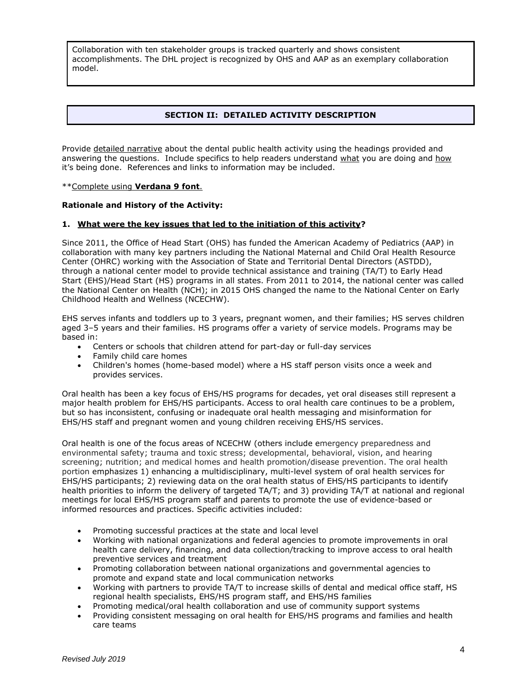Collaboration with ten stakeholder groups is tracked quarterly and shows consistent accomplishments. The DHL project is recognized by OHS and AAP as an exemplary collaboration model.

# **SECTION II: DETAILED ACTIVITY DESCRIPTION**

Provide detailed narrative about the dental public health activity using the headings provided and answering the questions. Include specifics to help readers understand what you are doing and how it's being done. References and links to information may be included.

\*\*Complete using **Verdana 9 font**.

#### **Rationale and History of the Activity:**

#### **1. What were the key issues that led to the initiation of this activity?**

Since 2011, the Office of Head Start (OHS) has funded the American Academy of Pediatrics (AAP) in collaboration with many key partners including the National Maternal and Child Oral Health Resource Center (OHRC) working with the Association of State and Territorial Dental Directors (ASTDD), through a national center model to provide technical assistance and training (TA/T) to Early Head Start (EHS)/Head Start (HS) programs in all states. From 2011 to 2014, the national center was called the National Center on Health (NCH); in 2015 OHS changed the name to the National Center on Early Childhood Health and Wellness (NCECHW).

EHS serves infants and toddlers up to 3 years, pregnant women, and their families; HS serves children aged 3–5 years and their families. HS programs offer a variety of service models. Programs may be based in:

- Centers or schools that children attend for part-day or full-day services
- Family child care homes
- Children's homes (home-based model) where a HS staff person visits once a week and provides services.

Oral health has been a key focus of EHS/HS programs for decades, yet oral diseases still represent a major health problem for EHS/HS participants. Access to oral health care continues to be a problem, but so has inconsistent, confusing or inadequate oral health messaging and misinformation for EHS/HS staff and pregnant women and young children receiving EHS/HS services.

Oral health is one of the focus areas of NCECHW (others include emergency preparedness and environmental safety; trauma and toxic stress; developmental, behavioral, vision, and hearing screening; nutrition; and medical homes and health promotion/disease prevention. The oral health portion emphasizes 1) enhancing a multidisciplinary, multi-level system of oral health services for EHS/HS participants; 2) reviewing data on the oral health status of EHS/HS participants to identify health priorities to inform the delivery of targeted TA/T; and 3) providing TA/T at national and regional meetings for local EHS/HS program staff and parents to promote the use of evidence-based or informed resources and practices. Specific activities included:

- Promoting successful practices at the state and local level
- Working with national organizations and federal agencies to promote improvements in oral health care delivery, financing, and data collection/tracking to improve access to oral health preventive services and treatment
- Promoting collaboration between national organizations and governmental agencies to promote and expand state and local communication networks
- Working with partners to provide TA/T to increase skills of dental and medical office staff, HS regional health specialists, EHS/HS program staff, and EHS/HS families
- Promoting medical/oral health collaboration and use of community support systems
- Providing consistent messaging on oral health for EHS/HS programs and families and health care teams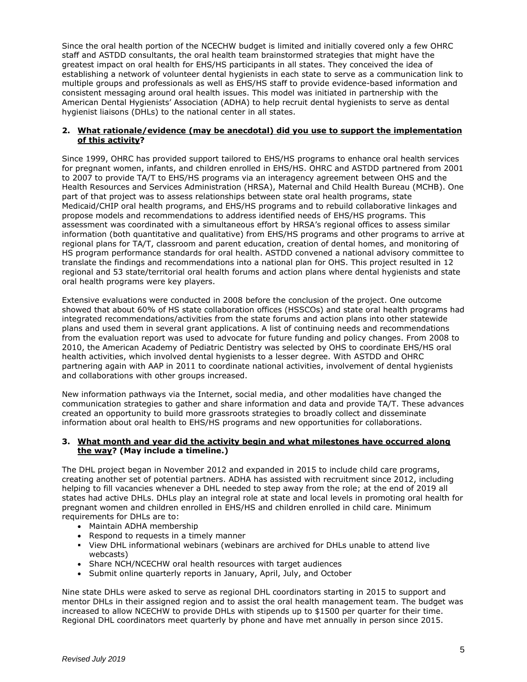Since the oral health portion of the NCECHW budget is limited and initially covered only a few OHRC staff and ASTDD consultants, the oral health team brainstormed strategies that might have the greatest impact on oral health for EHS/HS participants in all states. They conceived the idea of establishing a network of volunteer dental hygienists in each state to serve as a communication link to multiple groups and professionals as well as EHS/HS staff to provide evidence-based information and consistent messaging around oral health issues. This model was initiated in partnership with the American Dental Hygienists' Association (ADHA) to help recruit dental hygienists to serve as dental hygienist liaisons (DHLs) to the national center in all states.

### **2. What rationale/evidence (may be anecdotal) did you use to support the implementation of this activity?**

Since 1999, OHRC has provided support tailored to EHS/HS programs to enhance oral health services for pregnant women, infants, and children enrolled in EHS/HS. OHRC and ASTDD partnered from 2001 to 2007 to provide TA/T to EHS/HS programs via an interagency agreement between OHS and the Health Resources and Services Administration (HRSA), Maternal and Child Health Bureau (MCHB). One part of that project was to assess relationships between state oral health programs, state Medicaid/CHIP oral health programs, and EHS/HS programs and to rebuild collaborative linkages and propose models and recommendations to address identified needs of EHS/HS programs. This assessment was coordinated with a simultaneous effort by HRSA's regional offices to assess similar information (both quantitative and qualitative) from EHS/HS programs and other programs to arrive at regional plans for TA/T, classroom and parent education, creation of dental homes, and monitoring of HS program performance standards for oral health. ASTDD convened a national advisory committee to translate the findings and recommendations into a national plan for OHS. This project resulted in 12 regional and 53 state/territorial oral health forums and action plans where dental hygienists and state oral health programs were key players.

Extensive evaluations were conducted in 2008 before the conclusion of the project. One outcome showed that about 60% of HS state collaboration offices (HSSCOs) and state oral health programs had integrated recommendations/activities from the state forums and action plans into other statewide plans and used them in several grant applications. A list of continuing needs and recommendations from the evaluation report was used to advocate for future funding and policy changes. From 2008 to 2010, the American Academy of Pediatric Dentistry was selected by OHS to coordinate EHS/HS oral health activities, which involved dental hygienists to a lesser degree. With ASTDD and OHRC partnering again with AAP in 2011 to coordinate national activities, involvement of dental hygienists and collaborations with other groups increased.

New information pathways via the Internet, social media, and other modalities have changed the communication strategies to gather and share information and data and provide TA/T. These advances created an opportunity to build more grassroots strategies to broadly collect and disseminate information about oral health to EHS/HS programs and new opportunities for collaborations.

#### **3. What month and year did the activity begin and what milestones have occurred along the way? (May include a timeline.)**

The DHL project began in November 2012 and expanded in 2015 to include child care programs, creating another set of potential partners. ADHA has assisted with recruitment since 2012, including helping to fill vacancies whenever a DHL needed to step away from the role; at the end of 2019 all states had active DHLs. DHLs play an integral role at state and local levels in promoting oral health for pregnant women and children enrolled in EHS/HS and children enrolled in child care. Minimum requirements for DHLs are to:

- Maintain ADHA membership
- Respond to requests in a timely manner
- **•** View DHL informational webinars (webinars are archived for DHLs unable to attend live webcasts)
- Share NCH/NCECHW oral health resources with target audiences
- Submit online quarterly reports in January, April, July, and October

Nine state DHLs were asked to serve as regional DHL coordinators starting in 2015 to support and mentor DHLs in their assigned region and to assist the oral health management team. The budget was increased to allow NCECHW to provide DHLs with stipends up to \$1500 per quarter for their time. Regional DHL coordinators meet quarterly by phone and have met annually in person since 2015.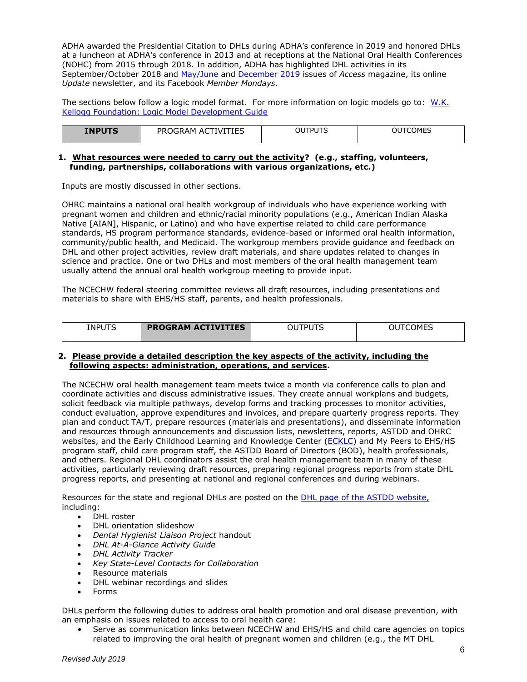ADHA awarded the Presidential Citation to DHLs during ADHA's conference in 2019 and honored DHLs at a luncheon at ADHA's conference in 2013 and at receptions at the National Oral Health Conferences (NOHC) from 2015 through 2018. In addition, ADHA has highlighted DHL activities in its September/October 2018 and [May/June](https://www.astdd.org/docs/dhl-access-article-2019.pdf) and [December 2019](http://pubs.royle.com/publication/?i=635250&ver=html5&p=10) issues of *Access* magazine, its online *Update* newsletter, and its Facebook *Member Mondays.*

The sections below follow a logic model format. For more information on logic models go to: [W.K.](http://www.exinfm.com/training/pdfiles/logicModel.pdf)  [Kellogg Foundation: Logic Model Development Guide](http://www.exinfm.com/training/pdfiles/logicModel.pdf)

| COMES<br><b>INPUTS</b><br>רו וסדו "<br>PRL<br>!∆M<br>OU<br>OU<br>A<br>TIES<br>۱V۱.<br>$\tilde{}$ |  |
|--------------------------------------------------------------------------------------------------|--|
|--------------------------------------------------------------------------------------------------|--|

### **1. What resources were needed to carry out the activity? (e.g., staffing, volunteers, funding, partnerships, collaborations with various organizations, etc.)**

Inputs are mostly discussed in other sections.

OHRC maintains a national oral health workgroup of individuals who have experience working with pregnant women and children and ethnic/racial minority populations (e.g., American Indian Alaska Native [AIAN], Hispanic, or Latino) and who have expertise related to child care performance standards, HS program performance standards, evidence-based or informed oral health information, community/public health, and Medicaid. The workgroup members provide guidance and feedback on DHL and other project activities, review draft materials, and share updates related to changes in science and practice. One or two DHLs and most members of the oral health management team usually attend the annual oral health workgroup meeting to provide input.

The NCECHW federal steering committee reviews all draft resources, including presentations and materials to share with EHS/HS staff, parents, and health professionals.

| <b>INPUTS</b> | <b>PROGRAM ACTIVITIES</b> | ГDІ<br>OU | TCOMES<br>OUT |
|---------------|---------------------------|-----------|---------------|
|               |                           |           |               |

#### **2. Please provide a detailed description the key aspects of the activity, including the following aspects: administration, operations, and services.**

The NCECHW oral health management team meets twice a month via conference calls to plan and coordinate activities and discuss administrative issues. They create annual workplans and budgets, solicit feedback via multiple pathways, develop forms and tracking processes to monitor activities, conduct evaluation, approve expenditures and invoices, and prepare quarterly progress reports. They plan and conduct TA/T, prepare resources (materials and presentations), and disseminate information and resources through announcements and discussion lists, newsletters, reports, ASTDD and OHRC websites, and the Early Childhood Learning and Knowledge Center [\(ECKLC\)](https://eclkc.ohs.acf.hhs.gov/oral-health) and My Peers to EHS/HS program staff, child care program staff, the ASTDD Board of Directors (BOD), health professionals, and others. Regional DHL coordinators assist the oral health management team in many of these activities, particularly reviewing draft resources, preparing regional progress reports from state DHL progress reports, and presenting at national and regional conferences and during webinars.

Resources for the state and regional DHLs are posted on the [DHL page of the ASTDD website,](https://www.astdd.org/head-start-state-dental-hygienist-liaisons-information/) including:

- DHL roster
- DHL orientation slideshow
- *Dental Hygienist Liaison Project* handout
- *DHL At-A-Glance Activity Guide*
- *DHL Activity Tracker*
- *Key State-Level Contacts for Collaboration*
- Resource materials
- DHL webinar recordings and slides
- Forms

DHLs perform the following duties to address oral health promotion and oral disease prevention, with an emphasis on issues related to access to oral health care:

• Serve as communication links between NCECHW and EHS/HS and child care agencies on topics related to improving the oral health of pregnant women and children (e.g., the MT DHL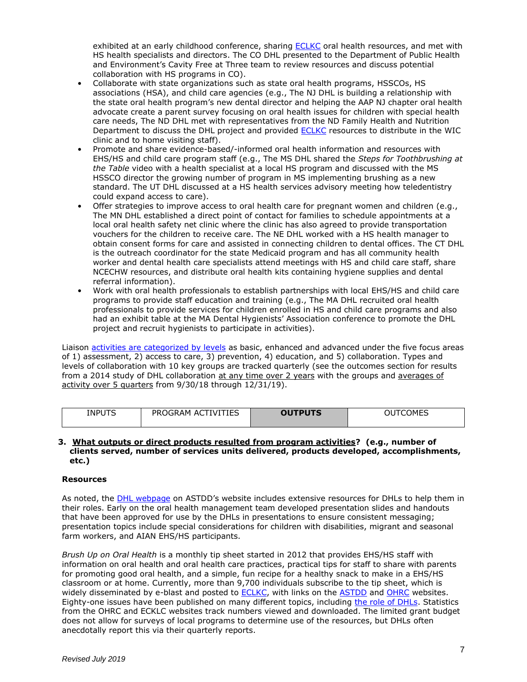exhibited at an early childhood conference, sharing [ECLKC](https://eclkc.ohs.acf.hhs.gov/oral-health) oral health resources, and met with HS health specialists and directors. The CO DHL presented to the Department of Public Health and Environment's Cavity Free at Three team to review resources and discuss potential collaboration with HS programs in CO).

- Collaborate with state organizations such as state oral health programs, HSSCOs, HS associations (HSA), and child care agencies (e.g., The NJ DHL is building a relationship with the state oral health program's new dental director and helping the AAP NJ chapter oral health advocate create a parent survey focusing on oral health issues for children with special health care needs, The ND DHL met with representatives from the ND Family Health and Nutrition Department to discuss the DHL project and provided **ECLKC** resources to distribute in the WIC clinic and to home visiting staff).
- Promote and share evidence-based/-informed oral health information and resources with EHS/HS and child care program staff (e.g., The MS DHL shared the *Steps for Toothbrushing at the Table* video with a health specialist at a local HS program and discussed with the MS HSSCO director the growing number of program in MS implementing brushing as a new standard. The UT DHL discussed at a HS health services advisory meeting how teledentistry could expand access to care).
- Offer strategies to improve access to oral health care for pregnant women and children (e.g., The MN DHL established a direct point of contact for families to schedule appointments at a local oral health safety net clinic where the clinic has also agreed to provide transportation vouchers for the children to receive care. The NE DHL worked with a HS health manager to obtain consent forms for care and assisted in connecting children to dental offices. The CT DHL is the outreach coordinator for the state Medicaid program and has all community health worker and dental health care specialists attend meetings with HS and child care staff, share NCECHW resources, and distribute oral health kits containing hygiene supplies and dental referral information).
- Work with oral health professionals to establish partnerships with local EHS/HS and child care programs to provide staff education and training (e.g., The MA DHL recruited oral health professionals to provide services for children enrolled in HS and child care programs and also had an exhibit table at the MA Dental Hygienists' Association conference to promote the DHL project and recruit hygienists to participate in activities).

Liaison [activities are categorized by levels](https://www.astdd.org/www/docs/dhl-at-a-glance-09-06-2017.pdf) as basic, enhanced and advanced under the five focus areas of 1) assessment, 2) access to care, 3) prevention, 4) education, and 5) collaboration. Types and levels of collaboration with 10 key groups are tracked quarterly (see the outcomes section for results from a 2014 study of DHL collaboration at any time over 2 years with the groups and averages of activity over 5 quarters from 9/30/18 through 12/31/19).

| <b>INPUTS</b><br>__ | `IES<br>PR∟<br>TVI<br>')GRAM<br>AC.<br>יר | <b>OUTPUTS</b> | <b>COMES</b> |
|---------------------|-------------------------------------------|----------------|--------------|
|---------------------|-------------------------------------------|----------------|--------------|

#### **3. What outputs or direct products resulted from program activities? (e.g., number of clients served, number of services units delivered, products developed, accomplishments, etc.)**

### **Resources**

As noted, the [DHL webpage](https://www.astdd.org/head-start-state-dental-hygienist-liaisons-information/) on ASTDD's website includes extensive resources for DHLs to help them in their roles. Early on the oral health management team developed presentation slides and handouts that have been approved for use by the DHLs in presentations to ensure consistent messaging; presentation topics include special considerations for children with disabilities, migrant and seasonal farm workers, and AIAN EHS/HS participants.

*Brush Up on Oral Health* is a monthly tip sheet started in 2012 that provides EHS/HS staff with information on oral health and oral health care practices, practical tips for staff to share with parents for promoting good oral health, and a simple, fun recipe for a healthy snack to make in a EHS/HS classroom or at home. Currently, more than 9,700 individuals subscribe to the tip sheet, which is widely disseminated by e-blast and posted to **ECLKC**, with links on the **ASTDD** and **OHRC** websites. Eighty-one issues have been published on many different topics, including [the role of DHLs.](https://eclkc.ohs.acf.hhs.gov/sites/default/files/pdf/no-search/buoh-2018-09.pdf) Statistics from the OHRC and ECKLC websites track numbers viewed and downloaded. The limited grant budget does not allow for surveys of local programs to determine use of the resources, but DHLs often anecdotally report this via their quarterly reports.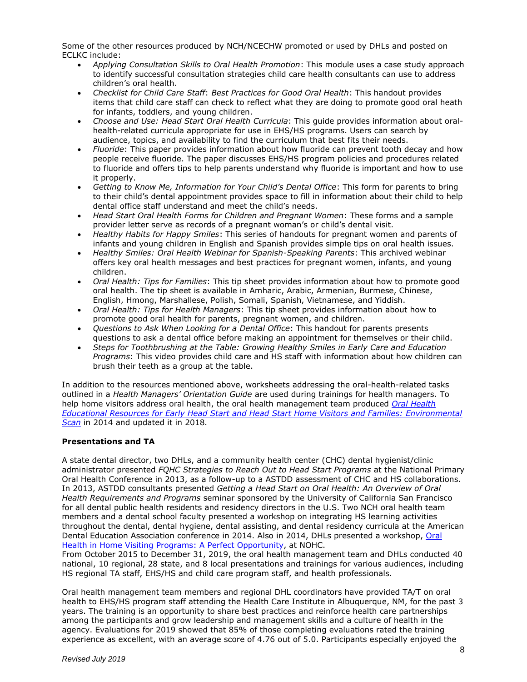Some of the other resources produced by NCH/NCECHW promoted or used by DHLs and posted on ECLKC include:

- *Applying Consultation Skills to Oral Health Promotion*: This module uses a case study approach to identify successful consultation strategies child care health consultants can use to address children's oral health.
- *Checklist for Child Care Staff*: *Best Practices for Good Oral Health*: This handout provides items that child care staff can check to reflect what they are doing to promote good oral heath for infants, toddlers, and young children.
- *Choose and Use: Head Start Oral Health Curricula*: This guide provides information about oralhealth-related curricula appropriate for use in EHS/HS programs. Users can search by audience, topics, and availability to find the curriculum that best fits their needs.
- *Fluoride*: This paper provides information about how fluoride can prevent tooth decay and how people receive fluoride. The paper discusses EHS/HS program policies and procedures related to fluoride and offers tips to help parents understand why fluoride is important and how to use it properly.
- *Getting to Know Me, Information for Your Child's Dental Office*: This form for parents to bring to their child's dental appointment provides space to fill in information about their child to help dental office staff understand and meet the child's needs.
- *Head Start Oral Health Forms for Children and Pregnant Women*: These forms and a sample provider letter serve as records of a pregnant woman's or child's dental visit.
- *Healthy Habits for Happy Smiles*: This series of handouts for pregnant women and parents of infants and young children in English and Spanish provides simple tips on oral health issues.
- *Healthy Smiles: Oral Health Webinar for Spanish-Speaking Parents*: This archived webinar offers key oral health messages and best practices for pregnant women, infants, and young children.
- *Oral Health: Tips for Families*: This tip sheet provides information about how to promote good oral health. The tip sheet is available in Amharic, Arabic, Armenian, Burmese, Chinese, English, Hmong, Marshallese, Polish, Somali, Spanish, Vietnamese, and Yiddish.
- *Oral Health: Tips for Health Managers*: This tip sheet provides information about how to promote good oral health for parents, pregnant women, and children.
- *Questions to Ask When Looking for a Dental Office*: This handout for parents presents questions to ask a dental office before making an appointment for themselves or their child.
- *Steps for Toothbrushing at the Table: Growing Healthy Smiles in Early Care and Education Programs*: This video provides child care and HS staff with information about how children can brush their teeth as a group at the table.

In addition to the resources mentioned above, worksheets addressing the oral-health-related tasks outlined in a *Health Managers' Orientation Guide* are used during trainings for health managers*.* To help home visitors address oral health, the oral health management team produced *[Oral Health](https://www.astdd.org/docs/home-visiting-environmental-scan-2018.pdf)  [Educational Resources for Early Head Start and Head Start Home Visitors and Families: Environmental](https://www.astdd.org/docs/home-visiting-environmental-scan-2018.pdf)  [Scan](https://www.astdd.org/docs/home-visiting-environmental-scan-2018.pdf)* in 2014 and updated it in 2018*.*

### **Presentations and TA**

A state dental director, two DHLs, and a community health center (CHC) dental hygienist/clinic administrator presented *FQHC Strategies to Reach Out to Head Start Programs* at the National Primary Oral Health Conference in 2013, as a follow-up to a ASTDD assessment of CHC and HS collaborations. In 2013, ASTDD consultants presented *Getting a Head Start on Oral Health: An Overview of Oral Health Requirements and Programs* seminar sponsored by the University of California San Francisco for all dental public health residents and residency directors in the U.S. Two NCH oral health team members and a dental school faculty presented a workshop on integrating HS learning activities throughout the dental, dental hygiene, dental assisting, and dental residency curricula at the American Dental Education Association conference in 2014. Also in 2014, DHLs presented a workshop, Oral [Health in Home Visiting Programs: A Perfect Opportunity,](http://www.nationaloralhealthconference.com/docs/presentations/2014/04-29/Oral%20Health%20in%20Home%20Visiting%20Progams%20-%20A%20Perfect%20Opportunity.pdf) at NOHC.

From October 2015 to December 31, 2019, the oral health management team and DHLs conducted 40 national, 10 regional, 28 state, and 8 local presentations and trainings for various audiences, including HS regional TA staff, EHS/HS and child care program staff, and health professionals.

Oral health management team members and regional DHL coordinators have provided TA/T on oral health to EHS/HS program staff attending the Health Care Institute in Albuquerque, NM, for the past 3 years. The training is an opportunity to share best practices and reinforce health care partnerships among the participants and grow leadership and management skills and a culture of health in the agency. Evaluations for 2019 showed that 85% of those completing evaluations rated the training experience as excellent, with an average score of 4.76 out of 5.0. Participants especially enjoyed the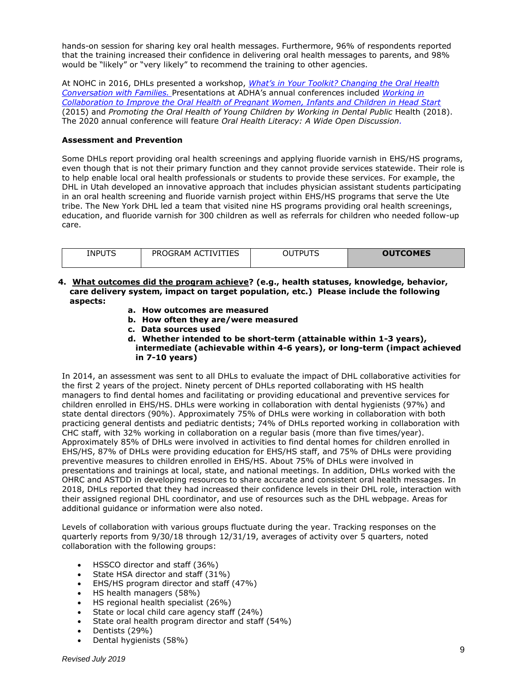hands-on session for sharing key oral health messages. Furthermore, 96% of respondents reported that the training increased their confidence in delivering oral health messages to parents, and 98% would be "likely" or "very likely" to recommend the training to other agencies.

At NOHC in 2016, DHLs presented a workshop, *[What's in Your Toolkit? Changing the Oral Health](http://www.nationaloralhealthconference.com/docs/presentations/2016/04-20/What)  [Conversation with Families.](http://www.nationaloralhealthconference.com/docs/presentations/2016/04-20/What)* Presentations at ADHA's annual conferences included *[Working in](https://www.astdd.org/docs/workingincollaborationtoimprovetheoralhealthofwomenchildrenandinfantinheadstart-adha-mtg-2015.pptx)  [Collaboration to Improve the Oral Health of Pregnant Women, Infants and Children in Head Start](https://www.astdd.org/docs/workingincollaborationtoimprovetheoralhealthofwomenchildrenandinfantinheadstart-adha-mtg-2015.pptx)* (2015) and Promoting the Oral Health of Young Children by Working in Dental Public Health (2018). The 2020 annual conference will feature *Oral Health Literacy: A Wide Open Discussion.*

### **Assessment and Prevention**

Some DHLs report providing oral health screenings and applying fluoride varnish in EHS/HS programs, even though that is not their primary function and they cannot provide services statewide. Their role is to help enable local oral health professionals or students to provide these services. For example, the DHL in Utah developed an innovative approach that includes physician assistant students participating in an oral health screening and fluoride varnish project within EHS/HS programs that serve the Ute tribe. The New York DHL led a team that visited nine HS programs providing oral health screenings, education, and fluoride varnish for 300 children as well as referrals for children who needed follow-up care.

| <b>INPUTS</b> | <b>ACTIVITIES</b><br>PROGRAM | <b>PDI ITS</b><br>JU<br>. . | <b>OUTCOMES</b> |
|---------------|------------------------------|-----------------------------|-----------------|
|               |                              |                             |                 |
|               |                              |                             |                 |

- **4. What outcomes did the program achieve? (e.g., health statuses, knowledge, behavior, care delivery system, impact on target population, etc.) Please include the following aspects:** 
	- **a. How outcomes are measured**
	- **b. How often they are/were measured**
	- **c. Data sources used**
	- **d. Whether intended to be short-term (attainable within 1-3 years), intermediate (achievable within 4-6 years), or long-term (impact achieved in 7-10 years)**

In 2014, an assessment was sent to all DHLs to evaluate the impact of DHL collaborative activities for the first 2 years of the project. Ninety percent of DHLs reported collaborating with HS health managers to find dental homes and facilitating or providing educational and preventive services for children enrolled in EHS/HS. DHLs were working in collaboration with dental hygienists (97%) and state dental directors (90%). Approximately 75% of DHLs were working in collaboration with both practicing general dentists and pediatric dentists; 74% of DHLs reported working in collaboration with CHC staff, with 32% working in collaboration on a regular basis (more than five times/year). Approximately 85% of DHLs were involved in activities to find dental homes for children enrolled in EHS/HS, 87% of DHLs were providing education for EHS/HS staff, and 75% of DHLs were providing preventive measures to children enrolled in EHS/HS. About 75% of DHLs were involved in presentations and trainings at local, state, and national meetings. In addition, DHLs worked with the OHRC and ASTDD in developing resources to share accurate and consistent oral health messages. In 2018, DHLs reported that they had increased their confidence levels in their DHL role, interaction with their assigned regional DHL coordinator, and use of resources such as the DHL webpage. Areas for additional guidance or information were also noted.

Levels of collaboration with various groups fluctuate during the year. Tracking responses on the quarterly reports from 9/30/18 through 12/31/19, averages of activity over 5 quarters, noted collaboration with the following groups:

- HSSCO director and staff (36%)
- State HSA director and staff (31%)
- EHS/HS program director and staff (47%)
- HS health managers (58%)
- HS regional health specialist (26%)
- State or local child care agency staff (24%)
- State oral health program director and staff (54%)
- Dentists (29%)
- Dental hygienists (58%)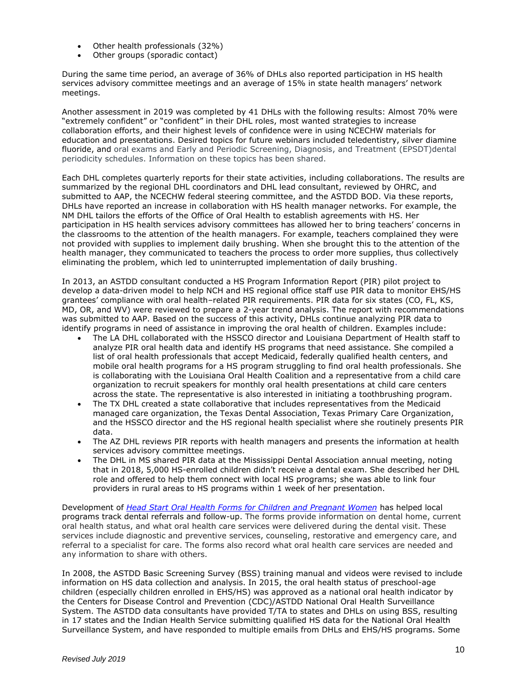- Other health professionals (32%)
- Other groups (sporadic contact)

During the same time period, an average of 36% of DHLs also reported participation in HS health services advisory committee meetings and an average of 15% in state health managers' network meetings.

Another assessment in 2019 was completed by 41 DHLs with the following results: Almost 70% were "extremely confident" or "confident" in their DHL roles, most wanted strategies to increase collaboration efforts, and their highest levels of confidence were in using NCECHW materials for education and presentations. Desired topics for future webinars included teledentistry, silver diamine fluoride, and oral exams and Early and Periodic Screening, Diagnosis, and Treatment (EPSDT)dental periodicity schedules. Information on these topics has been shared.

Each DHL completes quarterly reports for their state activities, including collaborations. The results are summarized by the regional DHL coordinators and DHL lead consultant, reviewed by OHRC, and submitted to AAP, the NCECHW federal steering committee, and the ASTDD BOD. Via these reports, DHLs have reported an increase in collaboration with HS health manager networks. For example, the NM DHL tailors the efforts of the Office of Oral Health to establish agreements with HS. Her participation in HS health services advisory committees has allowed her to bring teachers' concerns in the classrooms to the attention of the health managers. For example, teachers complained they were not provided with supplies to implement daily brushing. When she brought this to the attention of the health manager, they communicated to teachers the process to order more supplies, thus collectively eliminating the problem, which led to uninterrupted implementation of daily brushing.

In 2013, an ASTDD consultant conducted a HS Program Information Report (PIR) pilot project to develop a data-driven model to help NCH and HS regional office staff use PIR data to monitor EHS/HS grantees' compliance with oral health–related PIR requirements. PIR data for six states (CO, FL, KS, MD, OR, and WV) were reviewed to prepare a 2-year trend analysis. The report with recommendations was submitted to AAP. Based on the success of this activity, DHLs continue analyzing PIR data to identify programs in need of assistance in improving the oral health of children. Examples include:

- The LA DHL collaborated with the HSSCO director and Louisiana Department of Health staff to analyze PIR oral health data and identify HS programs that need assistance. She compiled a list of oral health professionals that accept Medicaid, federally qualified health centers, and mobile oral health programs for a HS program struggling to find oral health professionals. She is collaborating with the Louisiana Oral Health Coalition and a representative from a child care organization to recruit speakers for monthly oral health presentations at child care centers across the state. The representative is also interested in initiating a toothbrushing program.
- The TX DHL created a state collaborative that includes representatives from the Medicaid managed care organization, the Texas Dental Association, Texas Primary Care Organization, and the HSSCO director and the HS regional health specialist where she routinely presents PIR data.
- The AZ DHL reviews PIR reports with health managers and presents the information at health services advisory committee meetings.
- The DHL in MS shared PIR data at the Mississippi Dental Association annual meeting, noting that in 2018, 5,000 HS-enrolled children didn't receive a dental exam. She described her DHL role and offered to help them connect with local HS programs; she was able to link four providers in rural areas to HS programs within 1 week of her presentation.

Development of *[Head Start Oral Health Forms for Children and Pregnant Women](https://eclkc.ohs.acf.hhs.gov/oral-health/article/oral-health-forms)* has helped local programs track dental referrals and follow-up. The forms provide information on dental home, current oral health status, and what oral health care services were delivered during the dental visit. These services include diagnostic and preventive services, counseling, restorative and emergency care, and referral to a specialist for care. The forms also record what oral health care services are needed and any information to share with others.

In 2008, the ASTDD Basic Screening Survey (BSS) training manual and videos were revised to include information on HS data collection and analysis. In 2015, the oral health status of preschool-age children (especially children enrolled in EHS/HS) was approved as a national oral health indicator by the Centers for Disease Control and Prevention (CDC)/ASTDD National Oral Health Surveillance System. The ASTDD data consultants have provided T/TA to states and DHLs on using BSS, resulting in 17 states and the Indian Health Service submitting qualified HS data for the National Oral Health Surveillance System, and have responded to multiple emails from DHLs and EHS/HS programs. Some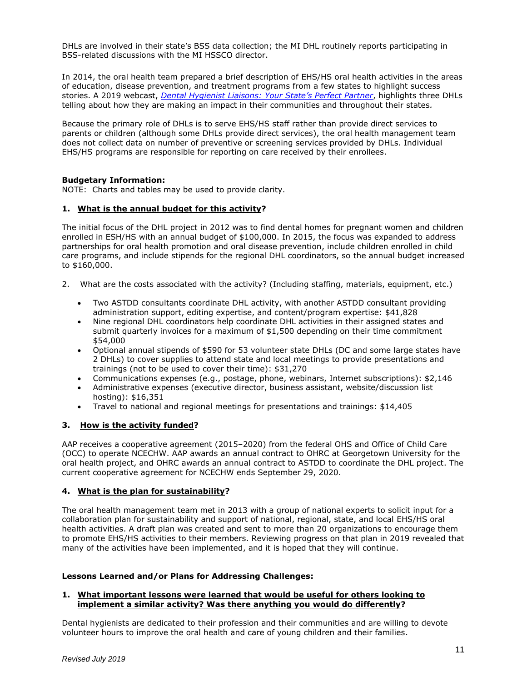DHLs are involved in their state's BSS data collection; the MI DHL routinely reports participating in BSS-related discussions with the MI HSSCO director.

In 2014, the oral health team prepared a brief description of EHS/HS oral health activities in the areas of education, disease prevention, and treatment programs from a few states to highlight success stories. A 2019 webcast, *[Dental Hygienist Liaisons: Your State's Perfect Partner](http://astdd.adobeconnect.com/pa5nelcrgjef/)*, highlights three DHLs telling about how they are making an impact in their communities and throughout their states*.*

Because the primary role of DHLs is to serve EHS/HS staff rather than provide direct services to parents or children (although some DHLs provide direct services), the oral health management team does not collect data on number of preventive or screening services provided by DHLs. Individual EHS/HS programs are responsible for reporting on care received by their enrollees.

### **Budgetary Information:**

NOTE: Charts and tables may be used to provide clarity.

#### **1. What is the annual budget for this activity?**

The initial focus of the DHL project in 2012 was to find dental homes for pregnant women and children enrolled in ESH/HS with an annual budget of \$100,000. In 2015, the focus was expanded to address partnerships for oral health promotion and oral disease prevention, include children enrolled in child care programs, and include stipends for the regional DHL coordinators, so the annual budget increased to \$160,000.

- 2. What are the costs associated with the activity? (Including staffing, materials, equipment, etc.)
	- Two ASTDD consultants coordinate DHL activity, with another ASTDD consultant providing administration support, editing expertise, and content/program expertise: \$41,828
	- Nine regional DHL coordinators help coordinate DHL activities in their assigned states and submit quarterly invoices for a maximum of \$1,500 depending on their time commitment \$54,000
	- Optional annual stipends of \$590 for 53 volunteer state DHLs (DC and some large states have 2 DHLs) to cover supplies to attend state and local meetings to provide presentations and trainings (not to be used to cover their time): \$31,270
	- Communications expenses (e.g., postage, phone, webinars, Internet subscriptions): \$2,146
	- Administrative expenses (executive director, business assistant, website/discussion list hosting): \$16,351
	- Travel to national and regional meetings for presentations and trainings: \$14,405

# **3. How is the activity funded?**

AAP receives a cooperative agreement (2015–2020) from the federal OHS and Office of Child Care (OCC) to operate NCECHW. AAP awards an annual contract to OHRC at Georgetown University for the oral health project, and OHRC awards an annual contract to ASTDD to coordinate the DHL project. The current cooperative agreement for NCECHW ends September 29, 2020.

#### **4. What is the plan for sustainability?**

The oral health management team met in 2013 with a group of national experts to solicit input for a collaboration plan for sustainability and support of national, regional, state, and local EHS/HS oral health activities. A draft plan was created and sent to more than 20 organizations to encourage them to promote EHS/HS activities to their members. Reviewing progress on that plan in 2019 revealed that many of the activities have been implemented, and it is hoped that they will continue.

### **Lessons Learned and/or Plans for Addressing Challenges:**

#### **1. What important lessons were learned that would be useful for others looking to implement a similar activity? Was there anything you would do differently?**

Dental hygienists are dedicated to their profession and their communities and are willing to devote volunteer hours to improve the oral health and care of young children and their families.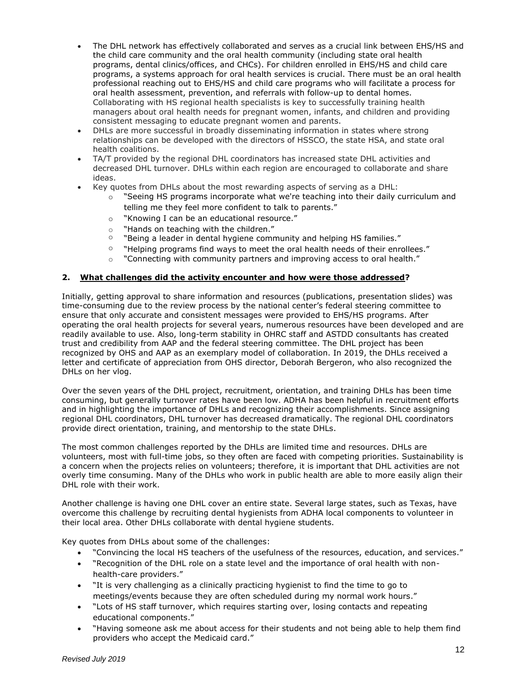- The DHL network has effectively collaborated and serves as a crucial link between EHS/HS and the child care community and the oral health community (including state oral health programs, dental clinics/offices, and CHCs). For children enrolled in EHS/HS and child care programs, a systems approach for oral health services is crucial. There must be an oral health professional reaching out to EHS/HS and child care programs who will facilitate a process for oral health assessment, prevention, and referrals with follow-up to dental homes. Collaborating with HS regional health specialists is key to successfully training health managers about oral health needs for pregnant women, infants, and children and providing consistent messaging to educate pregnant women and parents.
- DHLs are more successful in broadly disseminating information in states where strong relationships can be developed with the directors of HSSCO, the state HSA, and state oral health coalitions.
- TA/T provided by the regional DHL coordinators has increased state DHL activities and decreased DHL turnover. DHLs within each region are encouraged to collaborate and share ideas.
- Key quotes from DHLs about the most rewarding aspects of serving as a DHL:
	- $\circ$  "Seeing HS programs incorporate what we're teaching into their daily curriculum and telling me they feel more confident to talk to parents."
	- o "Knowing I can be an educational resource."
	- o "Hands on teaching with the children."
	- $\circ$  "Being a leader in dental hygiene community and helping HS families."
	- $\degree$  "Helping programs find ways to meet the oral health needs of their enrollees."
	- $\circ$  "Connecting with community partners and improving access to oral health."

### **2. What challenges did the activity encounter and how were those addressed?**

Initially, getting approval to share information and resources (publications, presentation slides) was time-consuming due to the review process by the national center's federal steering committee to ensure that only accurate and consistent messages were provided to EHS/HS programs. After operating the oral health projects for several years, numerous resources have been developed and are readily available to use. Also, long-term stability in OHRC staff and ASTDD consultants has created trust and credibility from AAP and the federal steering committee. The DHL project has been recognized by OHS and AAP as an exemplary model of collaboration. In 2019, the DHLs received a letter and certificate of appreciation from OHS director, Deborah Bergeron, who also recognized the DHLs on her vlog.

Over the seven years of the DHL project, recruitment, orientation, and training DHLs has been time consuming, but generally turnover rates have been low. ADHA has been helpful in recruitment efforts and in highlighting the importance of DHLs and recognizing their accomplishments. Since assigning regional DHL coordinators, DHL turnover has decreased dramatically. The regional DHL coordinators provide direct orientation, training, and mentorship to the state DHLs.

The most common challenges reported by the DHLs are limited time and resources. DHLs are volunteers, most with full-time jobs, so they often are faced with competing priorities. Sustainability is a concern when the projects relies on volunteers; therefore, it is important that DHL activities are not overly time consuming. Many of the DHLs who work in public health are able to more easily align their DHL role with their work.

Another challenge is having one DHL cover an entire state. Several large states, such as Texas, have overcome this challenge by recruiting dental hygienists from ADHA local components to volunteer in their local area. Other DHLs collaborate with dental hygiene students.

Key quotes from DHLs about some of the challenges:

- "Convincing the local HS teachers of the usefulness of the resources, education, and services."
- "Recognition of the DHL role on a state level and the importance of oral health with nonhealth-care providers."
- "It is very challenging as a clinically practicing hygienist to find the time to go to meetings/events because they are often scheduled during my normal work hours."
- "Lots of HS staff turnover, which requires starting over, losing contacts and repeating educational components."
- "Having someone ask me about access for their students and not being able to help them find providers who accept the Medicaid card."